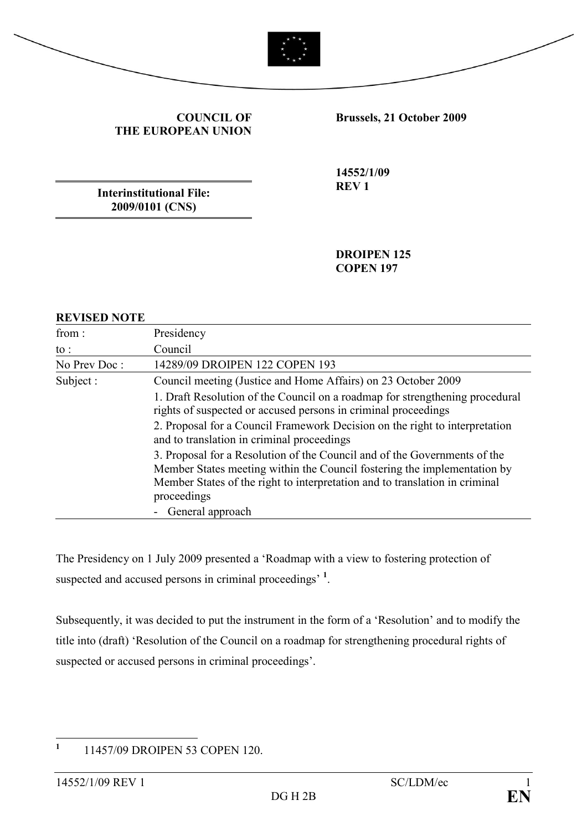

COUNCIL OF THE EUROPEAN UNION Brussels, 21 October 2009

Interinstitutional File: 2009/0101 (CNS)

14552/1/09 REV 1

DROIPEN 125 COPEN 197

#### REVISED NOTE

| from :       | Presidency                                                                                                                                                                                                                                          |
|--------------|-----------------------------------------------------------------------------------------------------------------------------------------------------------------------------------------------------------------------------------------------------|
| to :         | Council                                                                                                                                                                                                                                             |
| No Prev Doc: | 14289/09 DROIPEN 122 COPEN 193                                                                                                                                                                                                                      |
| Subject:     | Council meeting (Justice and Home Affairs) on 23 October 2009                                                                                                                                                                                       |
|              | 1. Draft Resolution of the Council on a roadmap for strengthening procedural<br>rights of suspected or accused persons in criminal proceedings                                                                                                      |
|              | 2. Proposal for a Council Framework Decision on the right to interpretation<br>and to translation in criminal proceedings                                                                                                                           |
|              | 3. Proposal for a Resolution of the Council and of the Governments of the<br>Member States meeting within the Council fostering the implementation by<br>Member States of the right to interpretation and to translation in criminal<br>proceedings |
|              | General approach                                                                                                                                                                                                                                    |

The Presidency on 1 July 2009 presented a 'Roadmap with a view to fostering protection of suspected and accused persons in criminal proceedings'<sup>1</sup>.

Subsequently, it was decided to put the instrument in the form of a 'Resolution' and to modify the title into (draft) 'Resolution of the Council on a roadmap for strengthening procedural rights of suspected or accused persons in criminal proceedings'.

 $\frac{1}{1}$ 11457/09 DROIPEN 53 COPEN 120.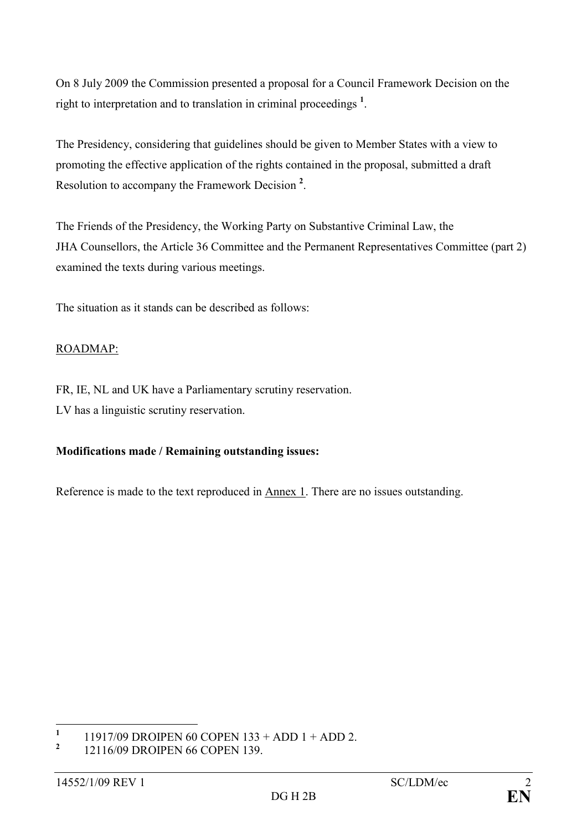On 8 July 2009 the Commission presented a proposal for a Council Framework Decision on the right to interpretation and to translation in criminal proceedings<sup>1</sup>.

The Presidency, considering that guidelines should be given to Member States with a view to promoting the effective application of the rights contained in the proposal, submitted a draft Resolution to accompany the Framework Decision<sup>2</sup>.

The Friends of the Presidency, the Working Party on Substantive Criminal Law, the JHA Counsellors, the Article 36 Committee and the Permanent Representatives Committee (part 2) examined the texts during various meetings.

The situation as it stands can be described as follows:

## ROADMAP:

FR, IE, NL and UK have a Parliamentary scrutiny reservation. LV has a linguistic scrutiny reservation.

# Modifications made / Remaining outstanding issues:

Reference is made to the text reproduced in Annex 1. There are no issues outstanding.

 $\frac{1}{1}$ 11917/09 DROIPEN 60 COPEN 133 + ADD 1 + ADD 2.

<sup>2</sup> 12116/09 DROIPEN 66 COPEN 139.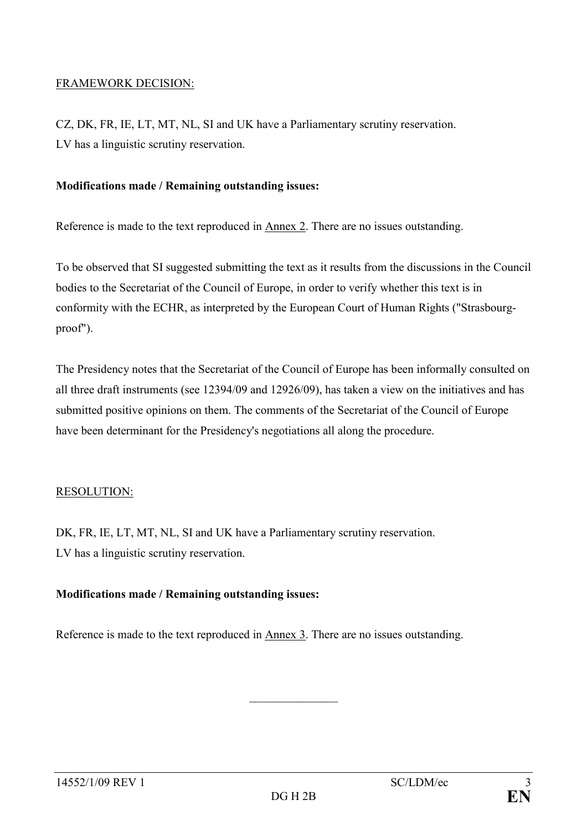#### FRAMEWORK DECISION:

CZ, DK, FR, IE, LT, MT, NL, SI and UK have a Parliamentary scrutiny reservation. LV has a linguistic scrutiny reservation.

#### Modifications made / Remaining outstanding issues:

Reference is made to the text reproduced in Annex 2. There are no issues outstanding.

To be observed that SI suggested submitting the text as it results from the discussions in the Council bodies to the Secretariat of the Council of Europe, in order to verify whether this text is in conformity with the ECHR, as interpreted by the European Court of Human Rights ("Strasbourgproof").

The Presidency notes that the Secretariat of the Council of Europe has been informally consulted on all three draft instruments (see 12394/09 and 12926/09), has taken a view on the initiatives and has submitted positive opinions on them. The comments of the Secretariat of the Council of Europe have been determinant for the Presidency's negotiations all along the procedure.

#### RESOLUTION:

DK, FR, IE, LT, MT, NL, SI and UK have a Parliamentary scrutiny reservation. LV has a linguistic scrutiny reservation.

#### Modifications made / Remaining outstanding issues:

Reference is made to the text reproduced in Annex 3. There are no issues outstanding.

 $\mathcal{L}$  , we have the set of the set of the set of the set of the set of the set of the set of the set of the set of the set of the set of the set of the set of the set of the set of the set of the set of the set of the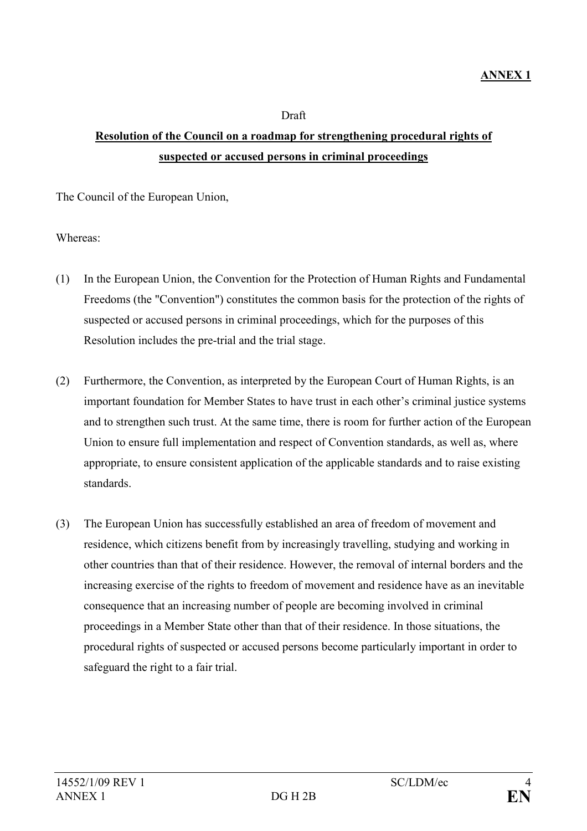#### Draft

# Resolution of the Council on a roadmap for strengthening procedural rights of suspected or accused persons in criminal proceedings

The Council of the European Union,

Whereas:

- (1) In the European Union, the Convention for the Protection of Human Rights and Fundamental Freedoms (the "Convention") constitutes the common basis for the protection of the rights of suspected or accused persons in criminal proceedings, which for the purposes of this Resolution includes the pre-trial and the trial stage.
- (2) Furthermore, the Convention, as interpreted by the European Court of Human Rights, is an important foundation for Member States to have trust in each other's criminal justice systems and to strengthen such trust. At the same time, there is room for further action of the European Union to ensure full implementation and respect of Convention standards, as well as, where appropriate, to ensure consistent application of the applicable standards and to raise existing standards.
- (3) The European Union has successfully established an area of freedom of movement and residence, which citizens benefit from by increasingly travelling, studying and working in other countries than that of their residence. However, the removal of internal borders and the increasing exercise of the rights to freedom of movement and residence have as an inevitable consequence that an increasing number of people are becoming involved in criminal proceedings in a Member State other than that of their residence. In those situations, the procedural rights of suspected or accused persons become particularly important in order to safeguard the right to a fair trial.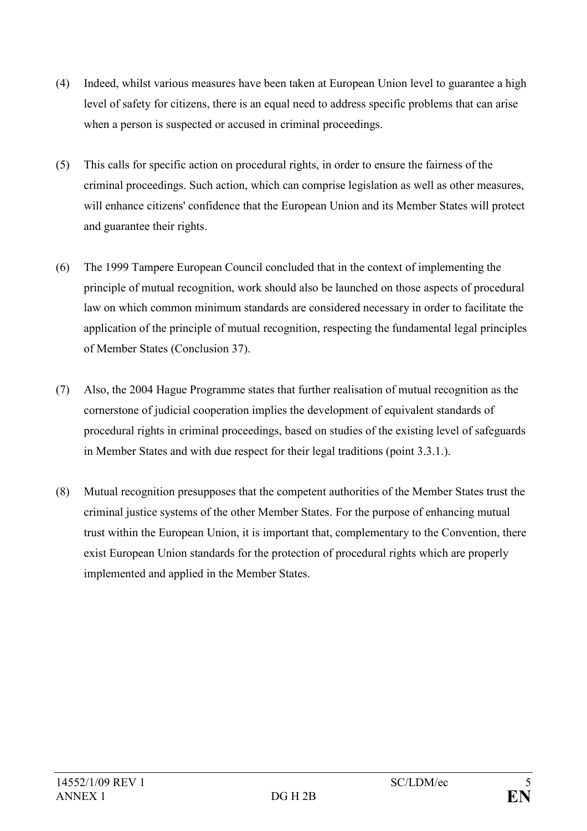- (4) Indeed, whilst various measures have been taken at European Union level to guarantee a high level of safety for citizens, there is an equal need to address specific problems that can arise when a person is suspected or accused in criminal proceedings.
- (5) This calls for specific action on procedural rights, in order to ensure the fairness of the criminal proceedings. Such action, which can comprise legislation as well as other measures, will enhance citizens' confidence that the European Union and its Member States will protect and guarantee their rights.
- (6) The 1999 Tampere European Council concluded that in the context of implementing the principle of mutual recognition, work should also be launched on those aspects of procedural law on which common minimum standards are considered necessary in order to facilitate the application of the principle of mutual recognition, respecting the fundamental legal principles of Member States (Conclusion 37).
- (7) Also, the 2004 Hague Programme states that further realisation of mutual recognition as the cornerstone of judicial cooperation implies the development of equivalent standards of procedural rights in criminal proceedings, based on studies of the existing level of safeguards in Member States and with due respect for their legal traditions (point 3.3.1.).
- (8) Mutual recognition presupposes that the competent authorities of the Member States trust the criminal justice systems of the other Member States. For the purpose of enhancing mutual trust within the European Union, it is important that, complementary to the Convention, there exist European Union standards for the protection of procedural rights which are properly implemented and applied in the Member States.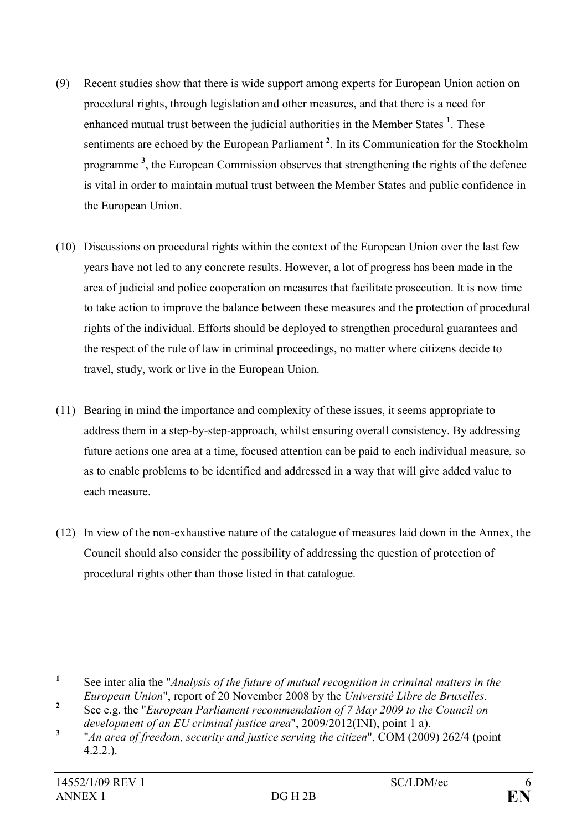- (9) Recent studies show that there is wide support among experts for European Union action on procedural rights, through legislation and other measures, and that there is a need for enhanced mutual trust between the judicial authorities in the Member States  $<sup>1</sup>$ . These</sup> sentiments are echoed by the European Parliament<sup>2</sup>. In its Communication for the Stockholm programme<sup>3</sup>, the European Commission observes that strengthening the rights of the defence is vital in order to maintain mutual trust between the Member States and public confidence in the European Union.
- (10) Discussions on procedural rights within the context of the European Union over the last few years have not led to any concrete results. However, a lot of progress has been made in the area of judicial and police cooperation on measures that facilitate prosecution. It is now time to take action to improve the balance between these measures and the protection of procedural rights of the individual. Efforts should be deployed to strengthen procedural guarantees and the respect of the rule of law in criminal proceedings, no matter where citizens decide to travel, study, work or live in the European Union.
- (11) Bearing in mind the importance and complexity of these issues, it seems appropriate to address them in a step-by-step-approach, whilst ensuring overall consistency. By addressing future actions one area at a time, focused attention can be paid to each individual measure, so as to enable problems to be identified and addressed in a way that will give added value to each measure.
- (12) In view of the non-exhaustive nature of the catalogue of measures laid down in the Annex, the Council should also consider the possibility of addressing the question of protection of procedural rights other than those listed in that catalogue.

 $\frac{1}{1}$ See inter alia the "Analysis of the future of mutual recognition in criminal matters in the European Union", report of 20 November 2008 by the Université Libre de Bruxelles.

<sup>2</sup> See e.g. the "European Parliament recommendation of 7 May 2009 to the Council on development of an EU criminal justice area", 2009/2012(INI), point 1 a).

<sup>3</sup> "An area of freedom, security and justice serving the citizen", COM (2009) 262/4 (point 4.2.2.).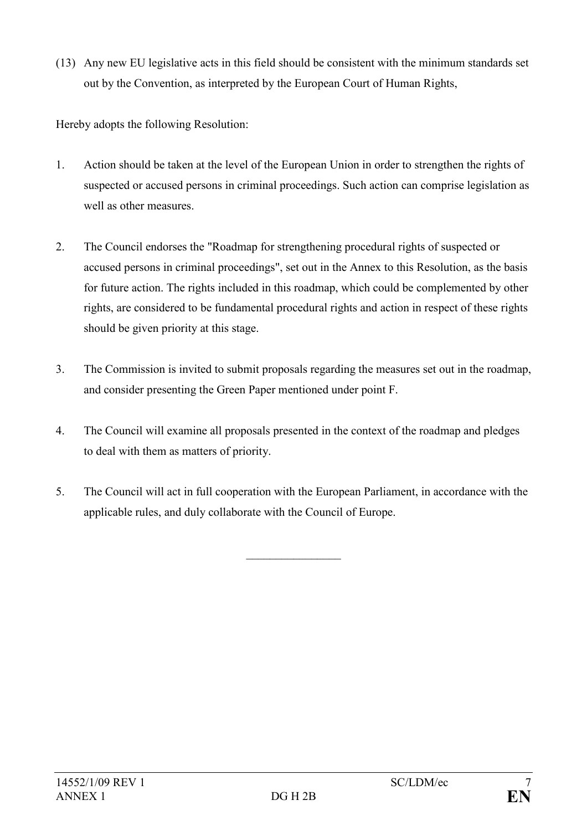(13) Any new EU legislative acts in this field should be consistent with the minimum standards set out by the Convention, as interpreted by the European Court of Human Rights,

Hereby adopts the following Resolution:

- 1. Action should be taken at the level of the European Union in order to strengthen the rights of suspected or accused persons in criminal proceedings. Such action can comprise legislation as well as other measures.
- 2. The Council endorses the "Roadmap for strengthening procedural rights of suspected or accused persons in criminal proceedings", set out in the Annex to this Resolution, as the basis for future action. The rights included in this roadmap, which could be complemented by other rights, are considered to be fundamental procedural rights and action in respect of these rights should be given priority at this stage.
- 3. The Commission is invited to submit proposals regarding the measures set out in the roadmap, and consider presenting the Green Paper mentioned under point F.
- 4. The Council will examine all proposals presented in the context of the roadmap and pledges to deal with them as matters of priority.
- 5. The Council will act in full cooperation with the European Parliament, in accordance with the applicable rules, and duly collaborate with the Council of Europe.

 $\frac{1}{2}$  ,  $\frac{1}{2}$  ,  $\frac{1}{2}$  ,  $\frac{1}{2}$  ,  $\frac{1}{2}$  ,  $\frac{1}{2}$  ,  $\frac{1}{2}$  ,  $\frac{1}{2}$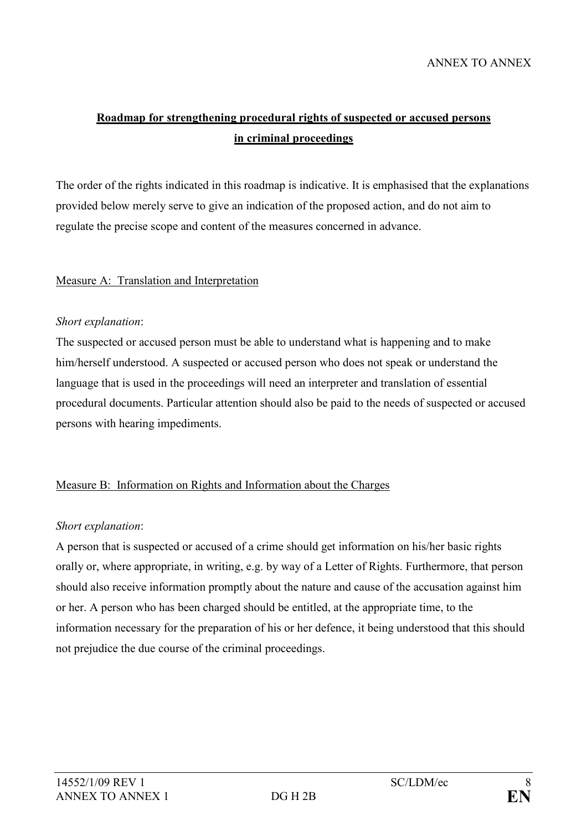# Roadmap for strengthening procedural rights of suspected or accused persons in criminal proceedings

The order of the rights indicated in this roadmap is indicative. It is emphasised that the explanations provided below merely serve to give an indication of the proposed action, and do not aim to regulate the precise scope and content of the measures concerned in advance.

## Measure A: Translation and Interpretation

#### Short explanation:

The suspected or accused person must be able to understand what is happening and to make him/herself understood. A suspected or accused person who does not speak or understand the language that is used in the proceedings will need an interpreter and translation of essential procedural documents. Particular attention should also be paid to the needs of suspected or accused persons with hearing impediments.

# Measure B: Information on Rights and Information about the Charges

# Short explanation:

A person that is suspected or accused of a crime should get information on his/her basic rights orally or, where appropriate, in writing, e.g. by way of a Letter of Rights. Furthermore, that person should also receive information promptly about the nature and cause of the accusation against him or her. A person who has been charged should be entitled, at the appropriate time, to the information necessary for the preparation of his or her defence, it being understood that this should not prejudice the due course of the criminal proceedings.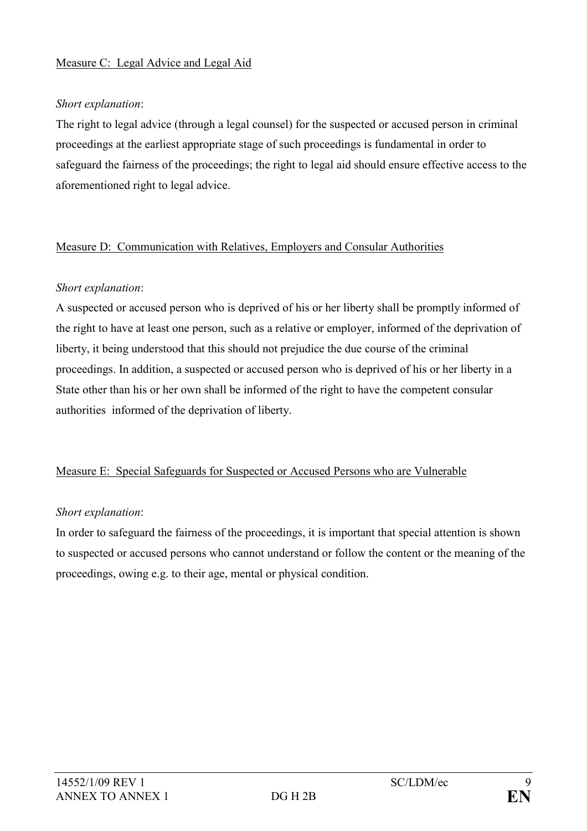#### Measure C: Legal Advice and Legal Aid

#### Short explanation:

The right to legal advice (through a legal counsel) for the suspected or accused person in criminal proceedings at the earliest appropriate stage of such proceedings is fundamental in order to safeguard the fairness of the proceedings; the right to legal aid should ensure effective access to the aforementioned right to legal advice.

#### Measure D: Communication with Relatives, Employers and Consular Authorities

#### Short explanation:

A suspected or accused person who is deprived of his or her liberty shall be promptly informed of the right to have at least one person, such as a relative or employer, informed of the deprivation of liberty, it being understood that this should not prejudice the due course of the criminal proceedings. In addition, a suspected or accused person who is deprived of his or her liberty in a State other than his or her own shall be informed of the right to have the competent consular authorities informed of the deprivation of liberty.

#### Measure E: Special Safeguards for Suspected or Accused Persons who are Vulnerable

#### Short explanation:

In order to safeguard the fairness of the proceedings, it is important that special attention is shown to suspected or accused persons who cannot understand or follow the content or the meaning of the proceedings, owing e.g. to their age, mental or physical condition.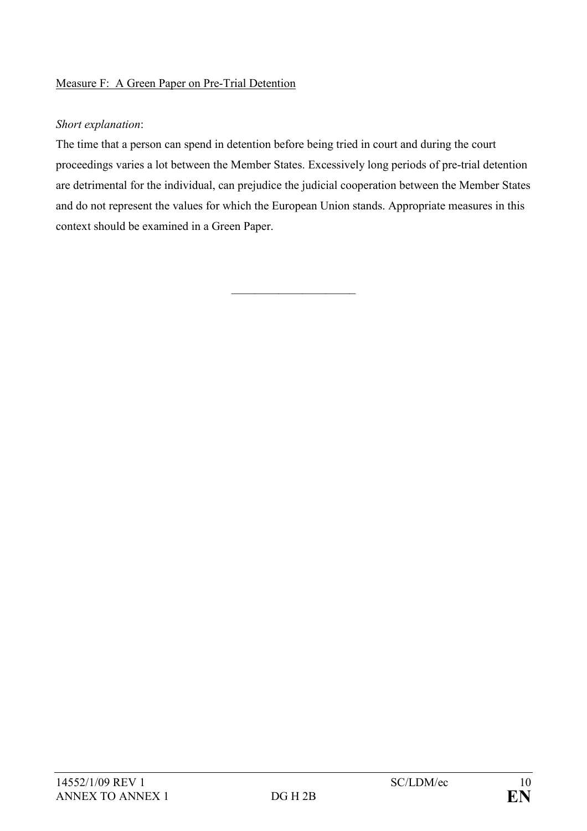## Measure F: A Green Paper on Pre-Trial Detention

#### Short explanation:

The time that a person can spend in detention before being tried in court and during the court proceedings varies a lot between the Member States. Excessively long periods of pre-trial detention are detrimental for the individual, can prejudice the judicial cooperation between the Member States and do not represent the values for which the European Union stands. Appropriate measures in this context should be examined in a Green Paper.

 $\overline{\phantom{a}}$  , and the set of the set of the set of the set of the set of the set of the set of the set of the set of the set of the set of the set of the set of the set of the set of the set of the set of the set of the s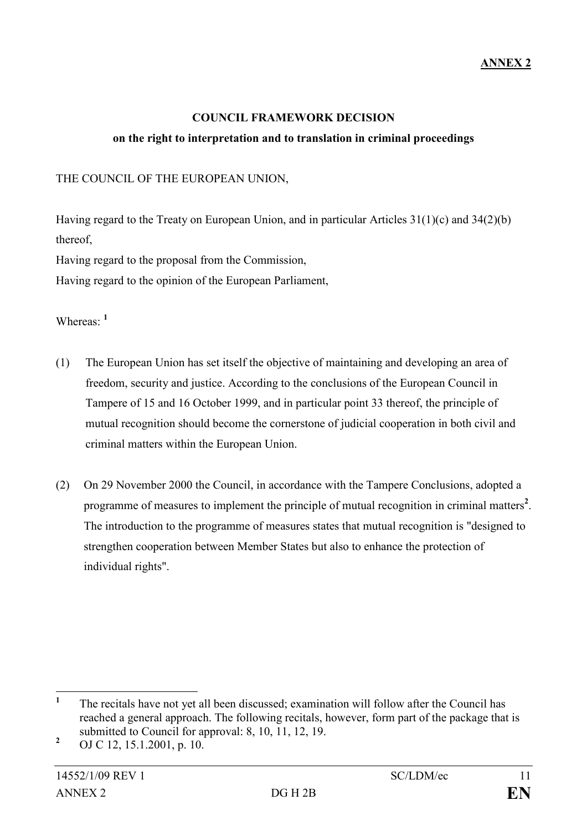#### COUNCIL FRAMEWORK DECISION

#### on the right to interpretation and to translation in criminal proceedings

THE COUNCIL OF THE EUROPEAN UNION,

Having regard to the Treaty on European Union, and in particular Articles 31(1)(c) and 34(2)(b) thereof,

Having regard to the proposal from the Commission,

Having regard to the opinion of the European Parliament,

Whereas: <sup>1</sup>

- (1) The European Union has set itself the objective of maintaining and developing an area of freedom, security and justice. According to the conclusions of the European Council in Tampere of 15 and 16 October 1999, and in particular point 33 thereof, the principle of mutual recognition should become the cornerstone of judicial cooperation in both civil and criminal matters within the European Union.
- (2) On 29 November 2000 the Council, in accordance with the Tampere Conclusions, adopted a programme of measures to implement the principle of mutual recognition in criminal matters<sup>2</sup>. The introduction to the programme of measures states that mutual recognition is "designed to strengthen cooperation between Member States but also to enhance the protection of individual rights".

 $\frac{1}{1}$  The recitals have not yet all been discussed; examination will follow after the Council has reached a general approach. The following recitals, however, form part of the package that is submitted to Council for approval: 8, 10, 11, 12, 19.

<sup>2</sup> OJ C 12, 15.1.2001, p. 10.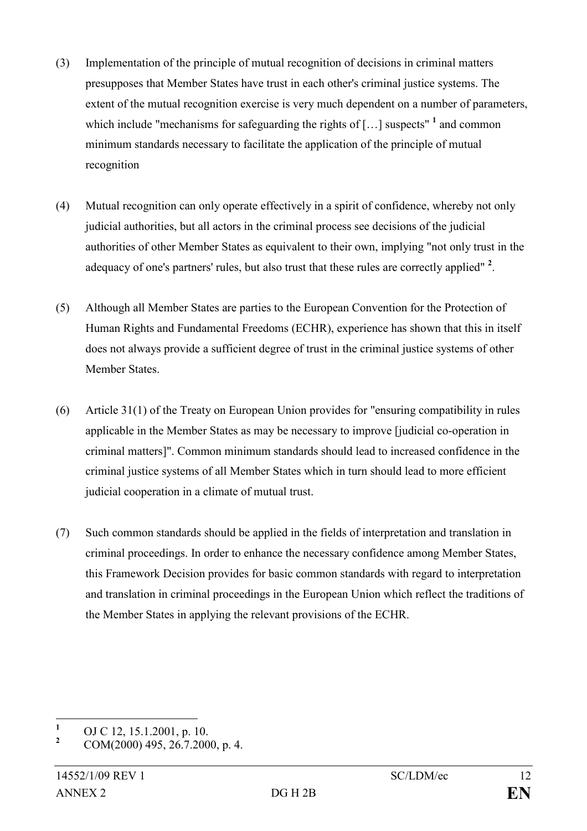- (3) Implementation of the principle of mutual recognition of decisions in criminal matters presupposes that Member States have trust in each other's criminal justice systems. The extent of the mutual recognition exercise is very much dependent on a number of parameters, which include "mechanisms for safeguarding the rights of  $\left[ \ldots \right]$  suspects" <sup>1</sup> and common minimum standards necessary to facilitate the application of the principle of mutual recognition
- (4) Mutual recognition can only operate effectively in a spirit of confidence, whereby not only judicial authorities, but all actors in the criminal process see decisions of the judicial authorities of other Member States as equivalent to their own, implying "not only trust in the adequacy of one's partners' rules, but also trust that these rules are correctly applied"  $2$ .
- (5) Although all Member States are parties to the European Convention for the Protection of Human Rights and Fundamental Freedoms (ECHR), experience has shown that this in itself does not always provide a sufficient degree of trust in the criminal justice systems of other Member States.
- (6) Article 31(1) of the Treaty on European Union provides for "ensuring compatibility in rules applicable in the Member States as may be necessary to improve [judicial co-operation in criminal matters]". Common minimum standards should lead to increased confidence in the criminal justice systems of all Member States which in turn should lead to more efficient judicial cooperation in a climate of mutual trust.
- (7) Such common standards should be applied in the fields of interpretation and translation in criminal proceedings. In order to enhance the necessary confidence among Member States, this Framework Decision provides for basic common standards with regard to interpretation and translation in criminal proceedings in the European Union which reflect the traditions of the Member States in applying the relevant provisions of the ECHR.

 $\frac{1}{1}$ OJ C 12, 15.1.2001, p. 10.

<sup>2</sup> COM(2000) 495, 26.7.2000, p. 4.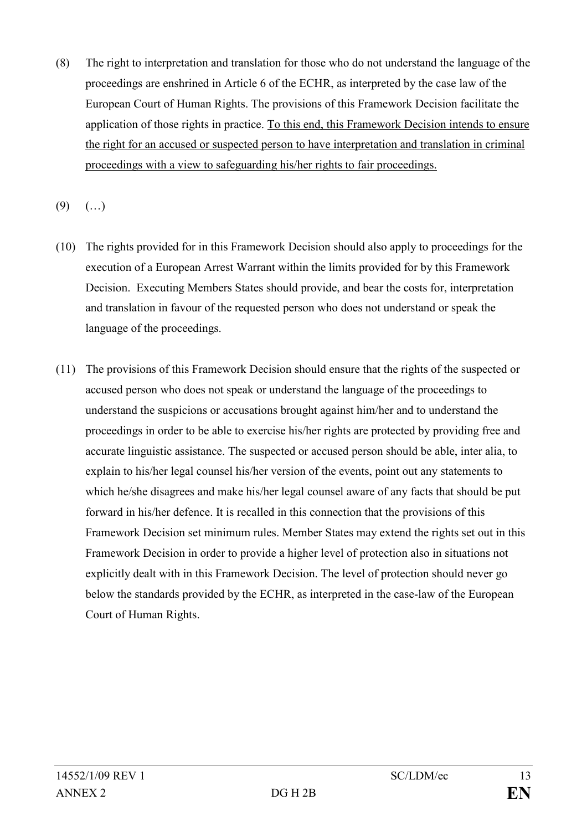- (8) The right to interpretation and translation for those who do not understand the language of the proceedings are enshrined in Article 6 of the ECHR, as interpreted by the case law of the European Court of Human Rights. The provisions of this Framework Decision facilitate the application of those rights in practice. To this end, this Framework Decision intends to ensure the right for an accused or suspected person to have interpretation and translation in criminal proceedings with a view to safeguarding his/her rights to fair proceedings.
- $(9)$   $(...)$
- (10) The rights provided for in this Framework Decision should also apply to proceedings for the execution of a European Arrest Warrant within the limits provided for by this Framework Decision. Executing Members States should provide, and bear the costs for, interpretation and translation in favour of the requested person who does not understand or speak the language of the proceedings.
- (11) The provisions of this Framework Decision should ensure that the rights of the suspected or accused person who does not speak or understand the language of the proceedings to understand the suspicions or accusations brought against him/her and to understand the proceedings in order to be able to exercise his/her rights are protected by providing free and accurate linguistic assistance. The suspected or accused person should be able, inter alia, to explain to his/her legal counsel his/her version of the events, point out any statements to which he/she disagrees and make his/her legal counsel aware of any facts that should be put forward in his/her defence. It is recalled in this connection that the provisions of this Framework Decision set minimum rules. Member States may extend the rights set out in this Framework Decision in order to provide a higher level of protection also in situations not explicitly dealt with in this Framework Decision. The level of protection should never go below the standards provided by the ECHR, as interpreted in the case-law of the European Court of Human Rights.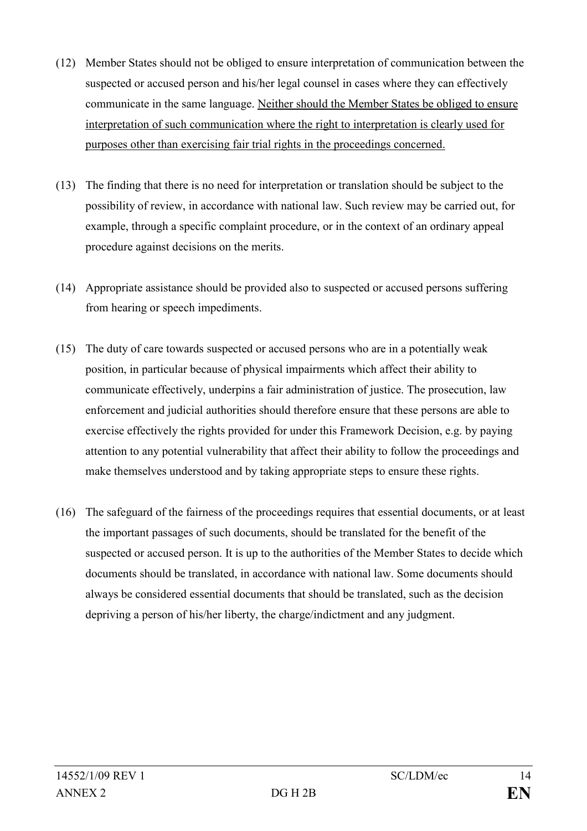- (12) Member States should not be obliged to ensure interpretation of communication between the suspected or accused person and his/her legal counsel in cases where they can effectively communicate in the same language. Neither should the Member States be obliged to ensure interpretation of such communication where the right to interpretation is clearly used for purposes other than exercising fair trial rights in the proceedings concerned.
- (13) The finding that there is no need for interpretation or translation should be subject to the possibility of review, in accordance with national law. Such review may be carried out, for example, through a specific complaint procedure, or in the context of an ordinary appeal procedure against decisions on the merits.
- (14) Appropriate assistance should be provided also to suspected or accused persons suffering from hearing or speech impediments.
- (15) The duty of care towards suspected or accused persons who are in a potentially weak position, in particular because of physical impairments which affect their ability to communicate effectively, underpins a fair administration of justice. The prosecution, law enforcement and judicial authorities should therefore ensure that these persons are able to exercise effectively the rights provided for under this Framework Decision, e.g. by paying attention to any potential vulnerability that affect their ability to follow the proceedings and make themselves understood and by taking appropriate steps to ensure these rights.
- (16) The safeguard of the fairness of the proceedings requires that essential documents, or at least the important passages of such documents, should be translated for the benefit of the suspected or accused person. It is up to the authorities of the Member States to decide which documents should be translated, in accordance with national law. Some documents should always be considered essential documents that should be translated, such as the decision depriving a person of his/her liberty, the charge/indictment and any judgment.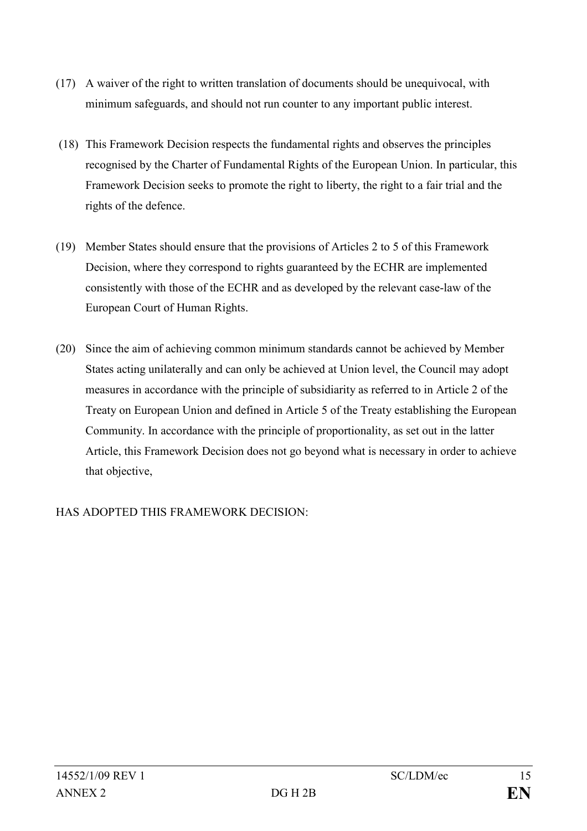- (17) A waiver of the right to written translation of documents should be unequivocal, with minimum safeguards, and should not run counter to any important public interest.
- (18) This Framework Decision respects the fundamental rights and observes the principles recognised by the Charter of Fundamental Rights of the European Union. In particular, this Framework Decision seeks to promote the right to liberty, the right to a fair trial and the rights of the defence.
- (19) Member States should ensure that the provisions of Articles 2 to 5 of this Framework Decision, where they correspond to rights guaranteed by the ECHR are implemented consistently with those of the ECHR and as developed by the relevant case-law of the European Court of Human Rights.
- (20) Since the aim of achieving common minimum standards cannot be achieved by Member States acting unilaterally and can only be achieved at Union level, the Council may adopt measures in accordance with the principle of subsidiarity as referred to in Article 2 of the Treaty on European Union and defined in Article 5 of the Treaty establishing the European Community. In accordance with the principle of proportionality, as set out in the latter Article, this Framework Decision does not go beyond what is necessary in order to achieve that objective,

HAS ADOPTED THIS FRAMEWORK DECISION: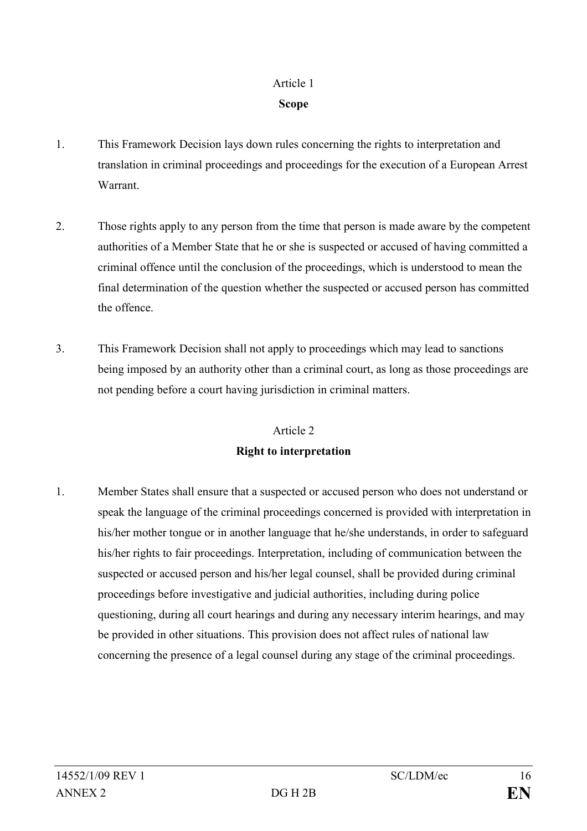# Article 1 Scope

- 1. This Framework Decision lays down rules concerning the rights to interpretation and translation in criminal proceedings and proceedings for the execution of a European Arrest Warrant.
- 2. Those rights apply to any person from the time that person is made aware by the competent authorities of a Member State that he or she is suspected or accused of having committed a criminal offence until the conclusion of the proceedings, which is understood to mean the final determination of the question whether the suspected or accused person has committed the offence.
- 3. This Framework Decision shall not apply to proceedings which may lead to sanctions being imposed by an authority other than a criminal court, as long as those proceedings are not pending before a court having jurisdiction in criminal matters.

# Article 2 Right to interpretation

1. Member States shall ensure that a suspected or accused person who does not understand or speak the language of the criminal proceedings concerned is provided with interpretation in his/her mother tongue or in another language that he/she understands, in order to safeguard his/her rights to fair proceedings. Interpretation, including of communication between the suspected or accused person and his/her legal counsel, shall be provided during criminal proceedings before investigative and judicial authorities, including during police questioning, during all court hearings and during any necessary interim hearings, and may be provided in other situations. This provision does not affect rules of national law concerning the presence of a legal counsel during any stage of the criminal proceedings.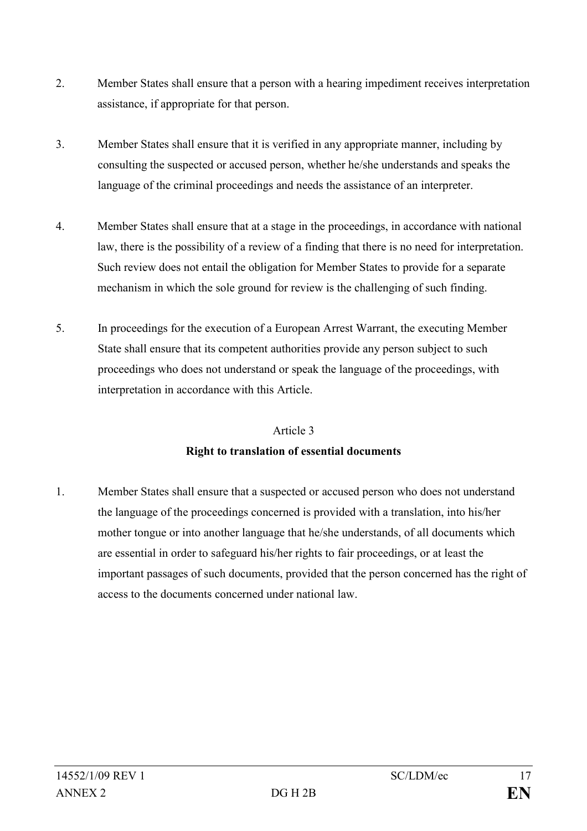- 2. Member States shall ensure that a person with a hearing impediment receives interpretation assistance, if appropriate for that person.
- 3. Member States shall ensure that it is verified in any appropriate manner, including by consulting the suspected or accused person, whether he/she understands and speaks the language of the criminal proceedings and needs the assistance of an interpreter.
- 4. Member States shall ensure that at a stage in the proceedings, in accordance with national law, there is the possibility of a review of a finding that there is no need for interpretation. Such review does not entail the obligation for Member States to provide for a separate mechanism in which the sole ground for review is the challenging of such finding.
- 5. In proceedings for the execution of a European Arrest Warrant, the executing Member State shall ensure that its competent authorities provide any person subject to such proceedings who does not understand or speak the language of the proceedings, with interpretation in accordance with this Article.

# Article 3

# Right to translation of essential documents

1. Member States shall ensure that a suspected or accused person who does not understand the language of the proceedings concerned is provided with a translation, into his/her mother tongue or into another language that he/she understands, of all documents which are essential in order to safeguard his/her rights to fair proceedings, or at least the important passages of such documents, provided that the person concerned has the right of access to the documents concerned under national law.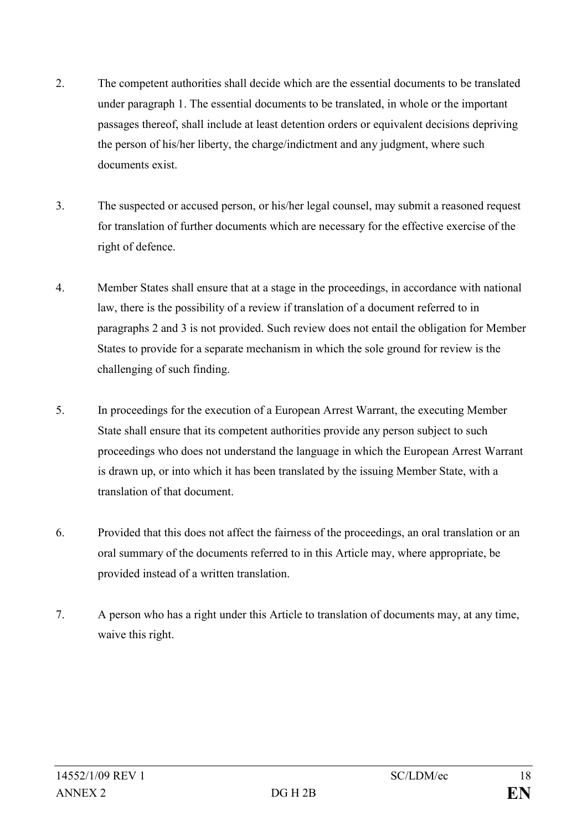- 2. The competent authorities shall decide which are the essential documents to be translated under paragraph 1. The essential documents to be translated, in whole or the important passages thereof, shall include at least detention orders or equivalent decisions depriving the person of his/her liberty, the charge/indictment and any judgment, where such documents exist.
- 3. The suspected or accused person, or his/her legal counsel, may submit a reasoned request for translation of further documents which are necessary for the effective exercise of the right of defence.
- 4. Member States shall ensure that at a stage in the proceedings, in accordance with national law, there is the possibility of a review if translation of a document referred to in paragraphs 2 and 3 is not provided. Such review does not entail the obligation for Member States to provide for a separate mechanism in which the sole ground for review is the challenging of such finding.
- 5. In proceedings for the execution of a European Arrest Warrant, the executing Member State shall ensure that its competent authorities provide any person subject to such proceedings who does not understand the language in which the European Arrest Warrant is drawn up, or into which it has been translated by the issuing Member State, with a translation of that document.
- 6. Provided that this does not affect the fairness of the proceedings, an oral translation or an oral summary of the documents referred to in this Article may, where appropriate, be provided instead of a written translation.
- 7. A person who has a right under this Article to translation of documents may, at any time, waive this right.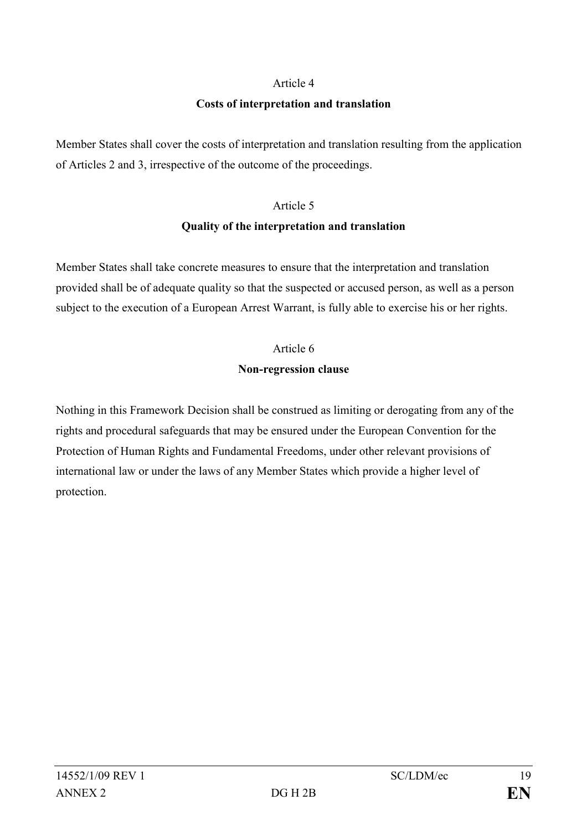#### Article 4

#### Costs of interpretation and translation

Member States shall cover the costs of interpretation and translation resulting from the application of Articles 2 and 3, irrespective of the outcome of the proceedings.

## Article 5

#### Quality of the interpretation and translation

Member States shall take concrete measures to ensure that the interpretation and translation provided shall be of adequate quality so that the suspected or accused person, as well as a person subject to the execution of a European Arrest Warrant, is fully able to exercise his or her rights.

# Article 6

#### Non-regression clause

Nothing in this Framework Decision shall be construed as limiting or derogating from any of the rights and procedural safeguards that may be ensured under the European Convention for the Protection of Human Rights and Fundamental Freedoms, under other relevant provisions of international law or under the laws of any Member States which provide a higher level of protection.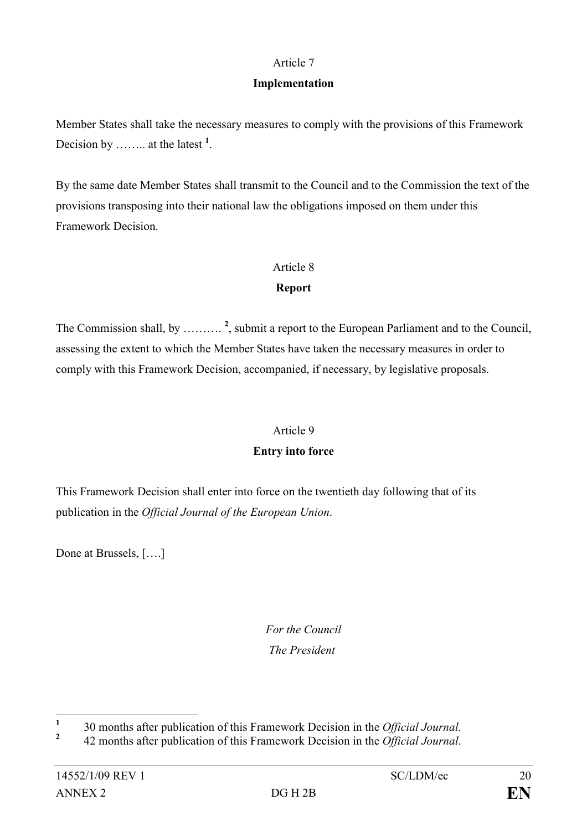### Article 7

### Implementation

Member States shall take the necessary measures to comply with the provisions of this Framework Decision by ........ at the latest  $<sup>1</sup>$ .</sup>

By the same date Member States shall transmit to the Council and to the Commission the text of the provisions transposing into their national law the obligations imposed on them under this Framework Decision.

#### Article 8

# Report

The Commission shall, by  $\ldots \ldots \ldots$ <sup>2</sup>, submit a report to the European Parliament and to the Council, assessing the extent to which the Member States have taken the necessary measures in order to comply with this Framework Decision, accompanied, if necessary, by legislative proposals.

#### Article 9

# Entry into force

This Framework Decision shall enter into force on the twentieth day following that of its publication in the Official Journal of the European Union.

Done at Brussels, [….]

# For the Council The President

 $\frac{1}{1}$ 30 months after publication of this Framework Decision in the Official Journal.

<sup>2</sup> 42 months after publication of this Framework Decision in the *Official Journal*.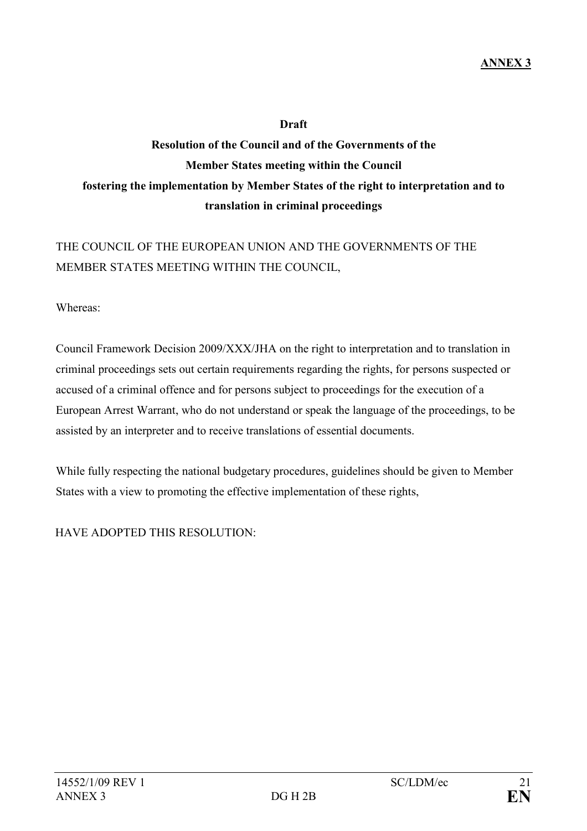#### Draft

# Resolution of the Council and of the Governments of the Member States meeting within the Council fostering the implementation by Member States of the right to interpretation and to translation in criminal proceedings

# THE COUNCIL OF THE EUROPEAN UNION AND THE GOVERNMENTS OF THE MEMBER STATES MEETING WITHIN THE COUNCIL,

Whereas:

Council Framework Decision 2009/XXX/JHA on the right to interpretation and to translation in criminal proceedings sets out certain requirements regarding the rights, for persons suspected or accused of a criminal offence and for persons subject to proceedings for the execution of a European Arrest Warrant, who do not understand or speak the language of the proceedings, to be assisted by an interpreter and to receive translations of essential documents.

While fully respecting the national budgetary procedures, guidelines should be given to Member States with a view to promoting the effective implementation of these rights,

HAVE ADOPTED THIS RESOLUTION: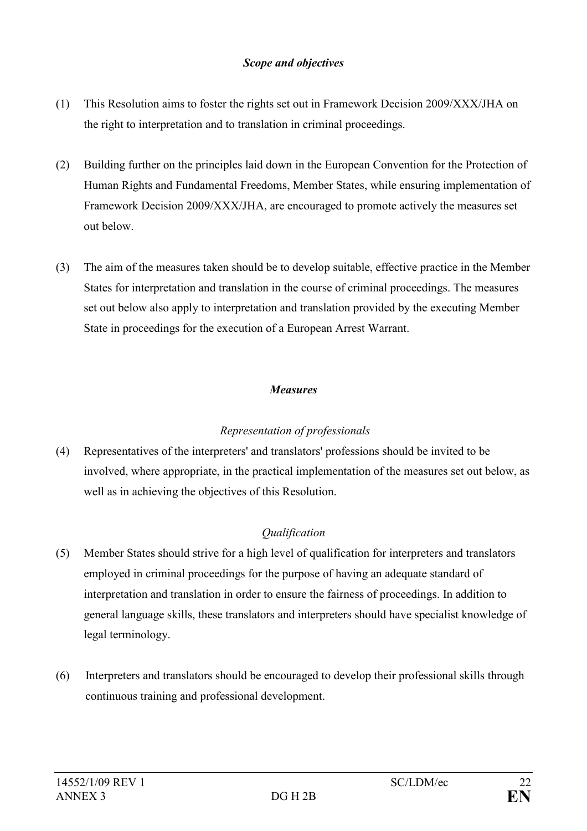#### Scope and objectives

- (1) This Resolution aims to foster the rights set out in Framework Decision 2009/XXX/JHA on the right to interpretation and to translation in criminal proceedings.
- (2) Building further on the principles laid down in the European Convention for the Protection of Human Rights and Fundamental Freedoms, Member States, while ensuring implementation of Framework Decision 2009/XXX/JHA, are encouraged to promote actively the measures set out below.
- (3) The aim of the measures taken should be to develop suitable, effective practice in the Member States for interpretation and translation in the course of criminal proceedings. The measures set out below also apply to interpretation and translation provided by the executing Member State in proceedings for the execution of a European Arrest Warrant.

## Measures

# Representation of professionals

(4) Representatives of the interpreters' and translators' professions should be invited to be involved, where appropriate, in the practical implementation of the measures set out below, as well as in achieving the objectives of this Resolution.

# Qualification

- (5) Member States should strive for a high level of qualification for interpreters and translators employed in criminal proceedings for the purpose of having an adequate standard of interpretation and translation in order to ensure the fairness of proceedings. In addition to general language skills, these translators and interpreters should have specialist knowledge of legal terminology.
- (6) Interpreters and translators should be encouraged to develop their professional skills through continuous training and professional development.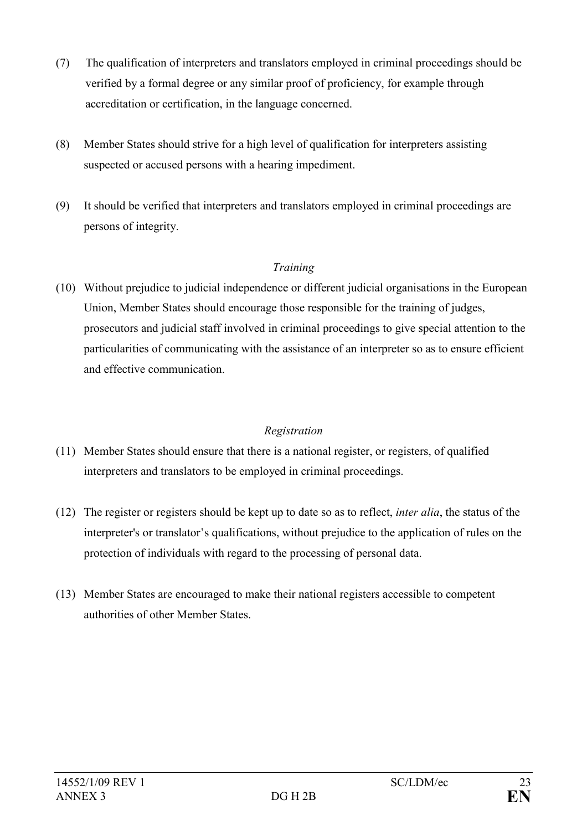- (7) The qualification of interpreters and translators employed in criminal proceedings should be verified by a formal degree or any similar proof of proficiency, for example through accreditation or certification, in the language concerned.
- (8) Member States should strive for a high level of qualification for interpreters assisting suspected or accused persons with a hearing impediment.
- (9) It should be verified that interpreters and translators employed in criminal proceedings are persons of integrity.

## Training

(10) Without prejudice to judicial independence or different judicial organisations in the European Union, Member States should encourage those responsible for the training of judges, prosecutors and judicial staff involved in criminal proceedings to give special attention to the particularities of communicating with the assistance of an interpreter so as to ensure efficient and effective communication.

# Registration

- (11) Member States should ensure that there is a national register, or registers, of qualified interpreters and translators to be employed in criminal proceedings.
- (12) The register or registers should be kept up to date so as to reflect, inter alia, the status of the interpreter's or translator's qualifications, without prejudice to the application of rules on the protection of individuals with regard to the processing of personal data.
- (13) Member States are encouraged to make their national registers accessible to competent authorities of other Member States.